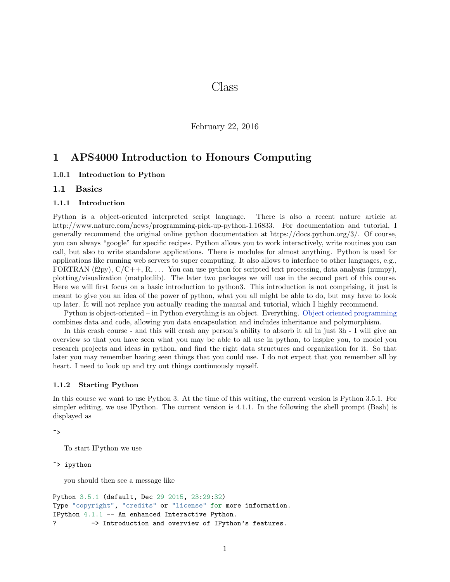# Class

February 22, 2016

## 1 APS4000 Introduction to Honours Computing

### 1.0.1 Introduction to Python

### 1.1 Basics

#### 1.1.1 Introduction

Python is a object-oriented interpreted script language. There is also a recent nature article at http://www.nature.com/news/programming-pick-up-python-1.16833. For documentation and tutorial, I generally recommend the original online python documentation at https://docs.python.org/3/. Of course, you can always "google" for specific recipes. Python allows you to work interactively, write routines you can call, but also to write standalone applications. There is modules for almost anything. Python is used for applications like running web servers to super computing. It also allows to interface to other languages, e.g., FORTRAN (f2py),  $C/C++$ , R,  $\ldots$  You can use python for scripted text processing, data analysis (numpy), plotting/visualization (matplotlib). The later two packages we will use in the second part of this course. Here we will first focus on a basic introduction to python3. This introduction is not comprising, it just is meant to give you an idea of the power of python, what you all might be able to do, but may have to look up later. It will not replace you actually reading the manual and tutorial, which I highly recommend.

Python is object-oriented – in Python everything is an object. Everything. [Object oriented programming](http://en.wikipedia.org/wiki/Object-oriented_programming) combines data and code, allowing you data encapsulation and includes inheritance and polymorphism.

In this crash course - and this will crash any person's ability to absorb it all in just 3h - I will give an overview so that you have seen what you may be able to all use in python, to inspire you, to model you research projects and ideas in python, and find the right data structures and organization for it. So that later you may remember having seen things that you could use. I do not expect that you remember all by heart. I need to look up and try out things continuously myself.

#### 1.1.2 Starting Python

In this course we want to use Python 3. At the time of this writing, the current version is Python 3.5.1. For simpler editing, we use IPython. The current version is 4.1.1. In the following the shell prompt (Bash) is displayed as

```
~>
```
To start IPython we use

~> ipython

you should then see a message like

```
Python 3.5.1 (default, Dec 29 2015, 23:29:32)
Type "copyright", "credits" or "license" for more information.
IPython 4.1.1 -- An enhanced Interactive Python.
? -> Introduction and overview of IPython's features.
```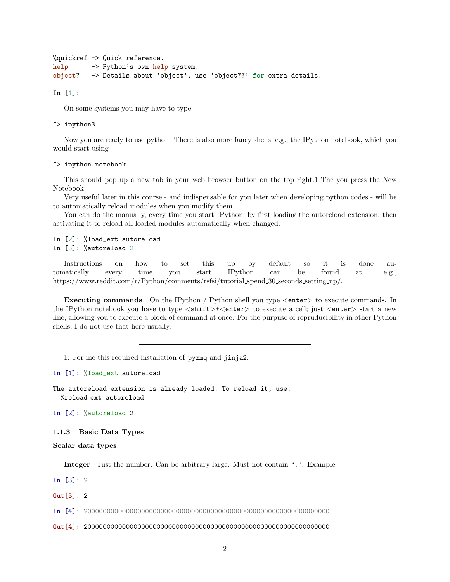```
%quickref -> Quick reference.
help -> Python's own help system.
object? -> Details about 'object', use 'object??' for extra details.
```
In [1]:

On some systems you may have to type

~> ipython3

Now you are ready to use python. There is also more fancy shells, e.g., the IPython notebook, which you would start using

~> ipython notebook

This should pop up a new tab in your web browser button on the top right.1 The you press the New Notebook

Very useful later in this course - and indispensable for you later when developing python codes - will be to automatically reload modules when you modify them.

You can do the manually, every time you start IPython, by first loading the autoreload extension, then activating it to reload all loaded modules automatically when changed.

In [2]: %load\_ext autoreload In [3]: %autoreload 2

Instructions on how to set this up by default so it is done automatically every time you start IPython can be found at, e.g., https://www.reddit.com/r/Python/comments/rsfsi/tutorial\_spend\_30\_seconds\_setting\_up/.

Executing commands On the IPython / Python shell you type <enter> to execute commands. In the IPython notebook you have to type  $\langle \text{shift}\rangle+\langle \text{enter}\rangle$  to execute a cell; just  $\langle \text{enter}\rangle$  start a new line, allowing you to execute a block of command at once. For the purpuse of repruducibility in other Python shells, I do not use that here usually.

1: For me this required installation of pyzmq and jinja2.

In [1]: %load\_ext autoreload

The autoreload extension is already loaded. To reload it, use: %reload ext autoreload

In [2]: %autoreload 2

1.1.3 Basic Data Types

Scalar data types

Integer Just the number. Can be arbitrary large. Must not contain ".". Example

In [3]: 2

 $Out[3]: 2$ 

In [4]: 2000000000000000000000000000000000000000000000000000000000000000

Out[4]: 2000000000000000000000000000000000000000000000000000000000000000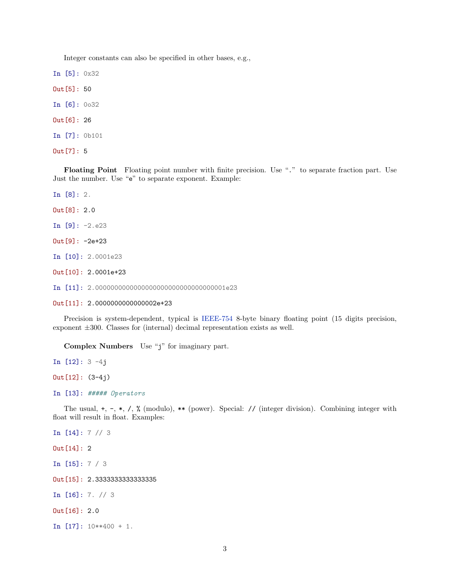Integer constants can also be specified in other bases, e.g.,

In [5]: 0x32 Out[5]: 50 In [6]: 0o32 Out[6]: 26 In [7]: 0b101 Out[7]: 5

Floating Point Floating point number with finite precision. Use "." to separate fraction part. Use Just the number. Use "e" to separate exponent. Example:

In [8]: 2.

Out[8]: 2.0

In [9]: -2.e23

Out[9]: -2e+23

In [10]: 2.0001e23

Out[10]: 2.0001e+23

In [11]: 2.0000000000000000000000000000000001e23

Out[11]: 2.0000000000000002e+23

Precision is system-dependent, typical is [IEEE-754](http://en.wikipedia.org/wiki/IEEE_floating_point) 8-byte binary floating point (15 digits precision, exponent ±300. Classes for (internal) decimal representation exists as well.

Complex Numbers Use "j" for imaginary part.

In [12]: 3 -4j Out[12]: (3-4j)

In [13]: ##### Operators

The usual,  $+$ ,  $-$ ,  $*$ ,  $/$ ,  $\%$  (modulo),  $**$  (power). Special: // (integer division). Combining integer with float will result in float. Examples:

In [14]: 7 // 3 Out[14]: 2 In [15]: 7 / 3 Out[15]: 2.3333333333333335 In [16]: 7. // 3 Out[16]: 2.0 In [17]: 10\*\*400 + 1.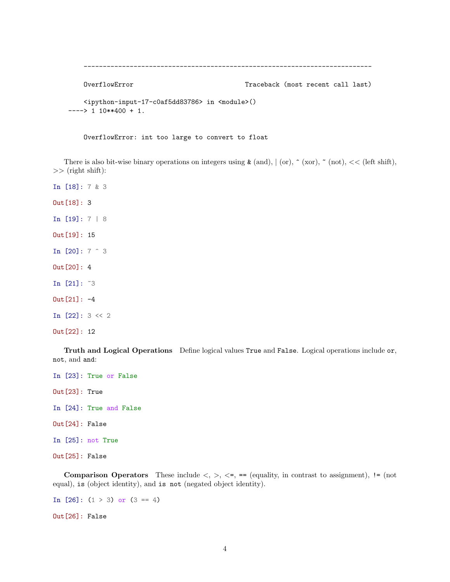```
---------------------------------------------------------------------------
   OverflowError Traceback (most recent call last)
   <ipython-input-17-c0af5dd83786> in <module>()
---> 1 10**400 + 1.
```
OverflowError: int too large to convert to float

There is also bit-wise binary operations on integers using  $\&$  (and),  $|$  (or),  $\hat{ }$  (xor),  $\check{ }$  (not), << (left shift),  $\gg$  (right shift):

In [18]: 7 & 3 Out[18]: 3 In [19]: 7 | 8 Out[19]: 15 In [20]: 7 ^ 3 Out[20]: 4 In [21]: ~3 Out[21]: -4 In [22]: 3 << 2 Out[22]: 12

Truth and Logical Operations Define logical values True and False. Logical operations include or, not, and and:

In [23]: True or False Out[23]: True In [24]: True and False Out[24]: False In [25]: not True Out[25]: False

**Comparison Operators** These include  $\langle \cdot, \cdot \rangle$ ,  $\langle \cdot \cdot \cdot \rangle$ ,  $\langle \cdot \cdot \cdot \rangle$  are (equality, in contrast to assignment), != (not equal), is (object identity), and is not (negated object identity).

In  $[26]$ :  $(1 > 3)$  or  $(3 == 4)$ Out[26]: False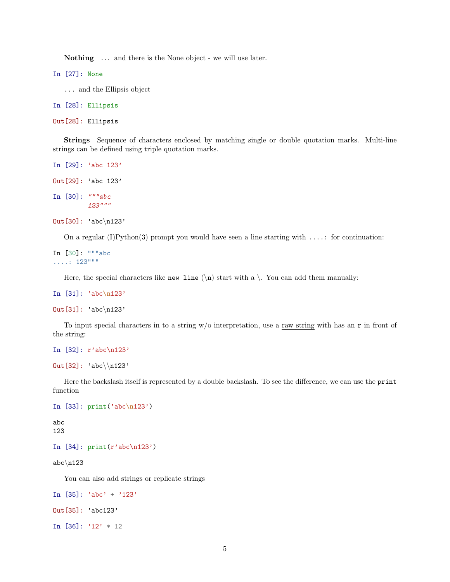Nothing ... and there is the None object - we will use later.

In [27]: None

... and the Ellipsis object

In [28]: Ellipsis

Out[28]: Ellipsis

Strings Sequence of characters enclosed by matching single or double quotation marks. Multi-line strings can be defined using triple quotation marks.

```
In [29]: 'abc 123'
Out[29]: 'abc 123'
In [30]: """abc
         123"""
Out[30]: 'abc\n123'
```
On a regular (I)Python(3) prompt you would have seen a line starting with  $\dots$ : for continuation:

```
In [30]: """abc
....: 123"""
```
Here, the special characters like new line  $(\nabla)$  start with a  $\nabla$ . You can add them manually:

```
In [31]: 'abc\n123'
```

```
Out[31]: 'abc\n123'
```
To input special characters in to a string  $w/o$  interpretation, use a raw string with has an r in front of the string:

```
In [32]: r'abc\n123'
```
Out [32]: 'abc $\ln 123'$ 

Here the backslash itself is represented by a double backslash. To see the difference, we can use the print function

```
In [33]: print('abc\n123')
```
abc 123

```
In [34]: print(r'abc\n/123')
```
abc $\ln 123$ 

You can also add strings or replicate strings

```
In [35]: 'abc' + '123'
```

```
Out[35]: 'abc123'
```
In  $[36]$ : '12' \* 12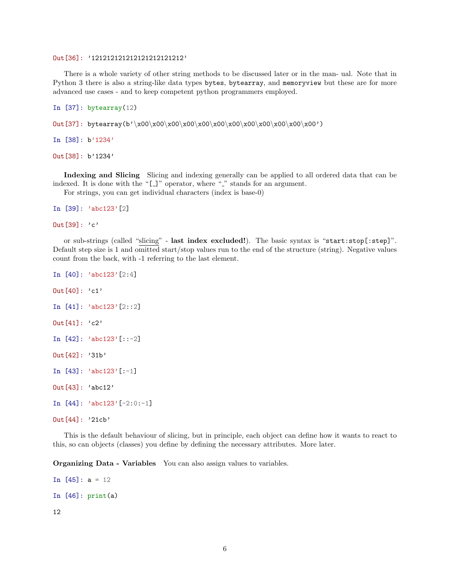### Out[36]: '121212121212121212121212'

There is a whole variety of other string methods to be discussed later or in the man- ual. Note that in Python 3 there is also a string-like data types bytes, bytearray, and memoryview but these are for more advanced use cases - and to keep competent python programmers employed.

```
In [37]: bytearray(12)
```

```
Out[37]: bytearray(b'\x00\x00\x00\x00\x00\x00\x00\x00\x00\x00\x00\x00')
```

```
In [38]: b'1234'
```
Out[38]: b'1234'

Indexing and Slicing Slicing and indexing generally can be applied to all ordered data that can be indexed. It is done with the " $[$ ]" operator, where " $\cdot$ " stands for an argument.

For strings, you can get individual characters (index is base-0)

```
In [39]: 'abc123'[2]
```
Out[39]: 'c'

or sub-strings (called "slicing" - last index excluded!). The basic syntax is "start:stop[:step]". Default step size is 1 and omitted start/stop values run to the end of the structure (string). Negative values count from the back, with -1 referring to the last element.

```
In [40]: 'abc123'[2:4]
Out[40]: 'c1'In [41]: 'abc123'[2::2]
Out[41]: 'c2'In [42]: 'abc123'[::-2]
Out[42]: '31b'
In [43]: 'abc123'[:-1]
Out[43]: 'abc12'
In [44]: 'abc123'[-2:0:-1]Out[44]: '21cb'
```
This is the default behaviour of slicing, but in principle, each object can define how it wants to react to this, so can objects (classes) you define by defining the necessary attributes. More later.

**Organizing Data - Variables** You can also assign values to variables.

```
In [45]: a = 12In [46]: print(a)
```
12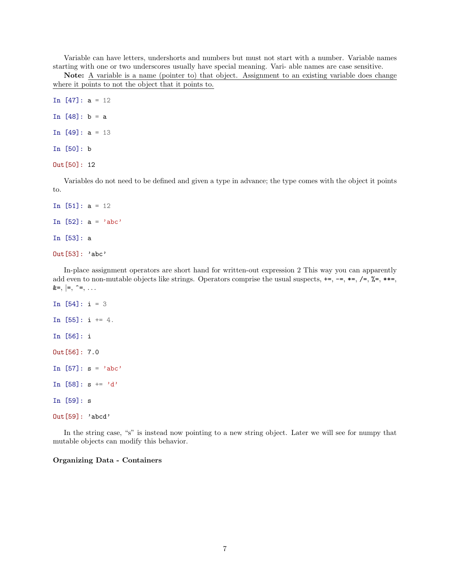Variable can have letters, undershorts and numbers but must not start with a number. Variable names starting with one or two underscores usually have special meaning. Vari- able names are case sensitive.

Note: A variable is a name (pointer to) that object. Assignment to an existing variable does change where it points to not the object that it points to.

In [47]: a = 12

In  $[48]$ :  $b = a$ 

In  $[49]$ : a = 13

In [50]: b

Out[50]: 12

Variables do not need to be defined and given a type in advance; the type comes with the object it points to.

```
In [51]: a = 12
In [52]: a = 'abc'In [53]: a
Out[53]: 'abc'
```
In-place assignment operators are short hand for written-out expression 2 This way you can apparently add even to non-mutable objects like strings. Operators comprise the usual suspects,  $+=, -=, *=, /=, *=, *=,$  $&=, |=, \sim =, \ldots$ 

```
In [54]: i = 3
In [55]: i += 4.
In [56]: i
Out[56]: 7.0
In [57]: s = 'abc'In [58]: s == 'd'In [59]: s
Out[59]: 'abcd'
```
In the string case, "s" is instead now pointing to a new string object. Later we will see for numpy that mutable objects can modify this behavior.

### Organizing Data - Containers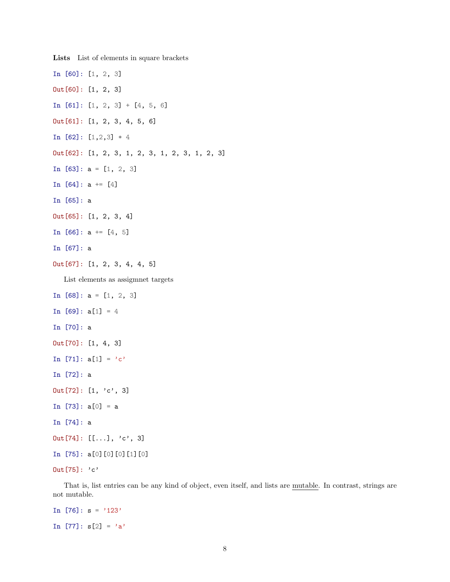In [60]: [1, 2, 3] Out[60]: [1, 2, 3] In  $[61]$ :  $[1, 2, 3] + [4, 5, 6]$ Out[61]: [1, 2, 3, 4, 5, 6] In [62]: [1,2,3] \* 4 Out[62]: [1, 2, 3, 1, 2, 3, 1, 2, 3, 1, 2, 3] In [63]: a = [1, 2, 3] In  $[64]$ : a +=  $[4]$ In [65]: a Out[65]: [1, 2, 3, 4] In  $[66]$ : a +=  $[4, 5]$ In [67]: a Out[67]: [1, 2, 3, 4, 4, 5] List elements as assigmnet targets In  $[68]$ :  $a = [1, 2, 3]$ In  $[69]$ :  $a[1] = 4$ In [70]: a Out[70]: [1, 4, 3] In [71]:  $a[1] = 'c'$ In [72]: a  $Out[72]: [1, 'c', 3]$ In  $[73]$ :  $a[0] = a$ In [74]: a  $Out[74]: [[...], 'c', 3]$ In [75]: a[0][0][0][1][0] Out[75]: 'c'

Lists List of elements in square brackets

That is, list entries can be any kind of object, even itself, and lists are mutable. In contrast, strings are not mutable.

In  $[76]$ :  $s = '123'$ In [77]:  $s[2] = 'a'$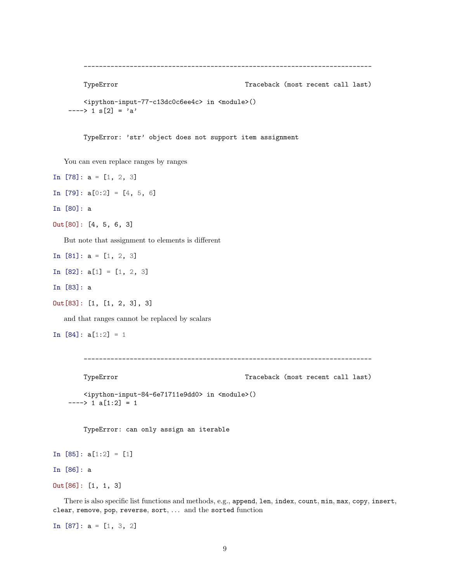```
---------------------------------------------------------------------------
```
TypeError Traceback (most recent call last)

```
<ipython-input-77-c13dc0c6ee4c> in <module>()
---> 1 s[2] = 'a'
```
TypeError: 'str' object does not support item assignment

You can even replace ranges by ranges

In  $[78]$ :  $a = [1, 2, 3]$ In  $[79]$ :  $a[0:2] = [4, 5, 6]$ In [80]: a Out[80]: [4, 5, 6, 3] But note that assignment to elements is different In  $[81]$ :  $a = [1, 2, 3]$ In  $[82]$ :  $a[1] = [1, 2, 3]$ In [83]: a Out[83]: [1, [1, 2, 3], 3] and that ranges cannot be replaced by scalars

In  $[84]$ :  $a[1:2] = 1$ 

```
---------------------------------------------------------------------------
```

```
TypeError Traceback (most recent call last)
  <ipython-input-84-6e71711e9dd0> in <module>()
---> 1 a[1:2] = 1
```
TypeError: can only assign an iterable

```
In [85]: a[1:2] = [1]
```
In [86]: a

Out[86]: [1, 1, 3]

There is also specific list functions and methods, e.g., append, len, index, count, min, max, copy, insert, clear, remove, pop, reverse, sort, ... and the sorted function

In  $[87]$ :  $a = [1, 3, 2]$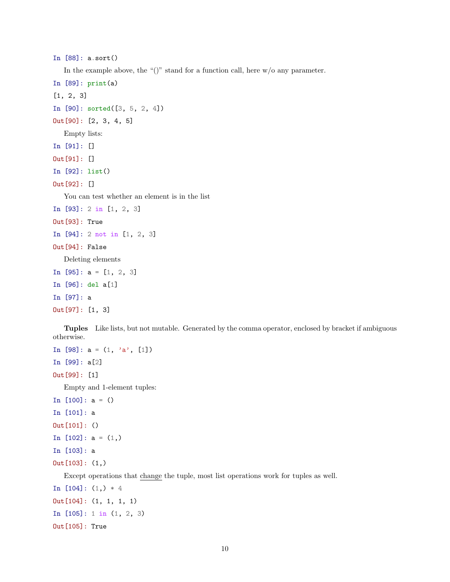```
In [88]: a.sort()
```
In the example above, the " $()$ " stand for a function call, here  $w/o$  any parameter.

```
In [89]: print(a)
[1, 2, 3]
In [90]: sorted([3, 5, 2, 4])
Out[90]: [2, 3, 4, 5]
  Empty lists:
In [91]: []
Out[91]: []
In [92]: list()
Out[92]: []
  You can test whether an element is in the list
In [93]: 2 in [1, 2, 3]
Out[93]: True
In [94]: 2 not in [1, 2, 3]
Out[94]: False
  Deleting elements
In [95]: a = [1, 2, 3]In [96]: del a[1]
In [97]: a
Out[97]: [1, 3]
```
Tuples Like lists, but not mutable. Generated by the comma operator, enclosed by bracket if ambiguous otherwise.

```
In [98]: a = (1, 'a', [1])In [99]: a[2]
Out[99]: [1]
  Empty and 1-element tuples:
In [100]: a = ()In [101]: a
Out[101]: ()
In [102]: a = (1, 0)In [103]: a
Out[103]: (1,)
  Except operations that change the tuple, most list operations work for tuples as well.
In [104]: (1,)*4Out[104]: (1, 1, 1, 1)
In [105]: 1 in (1, 2, 3)
```
Out[105]: True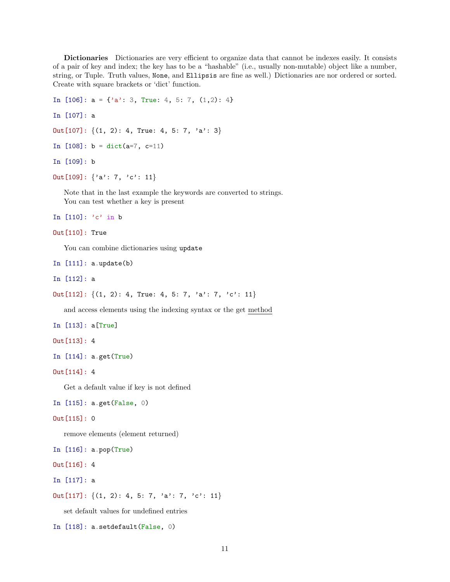Dictionaries Dictionaries are very efficient to organize data that cannot be indexes easily. It consists of a pair of key and index; the key has to be a "hashable" (i.e., usually non-mutable) object like a number, string, or Tuple. Truth values, None, and Ellipsis are fine as well.) Dictionaries are nor ordered or sorted. Create with square brackets or 'dict' function.

```
In [106]: a = \{a': 3, True: 4, 5: 7, (1,2): 4\}
```
In [107]: a

```
Out [107]: \{(1, 2): 4, True: 4, 5: 7, 'a': 3\}
```

```
In [108]: b = dict(a=7, c=11)
```
In [109]: b

```
Out [109]: \{a': 7, 'c': 11\}
```
Note that in the last example the keywords are converted to strings. You can test whether a key is present

In  $[110]$ : 'c' in b

```
Out[110]: True
```
You can combine dictionaries using update

In [111]: a.update(b)

In [112]: a

Out [112]:  $\{(1, 2): 4, True: 4, 5: 7, 'a': 7, 'c': 11\}$ 

and access elements using the indexing syntax or the get method

In [113]: a[True]

```
Out[113]: 4
```

```
In [114]: a.get(True)
```
Out[114]: 4

Get a default value if key is not defined

In [115]: a.get(False, 0)

```
Out[115]: 0
```
remove elements (element returned)

In [116]: a.pop(True)

Out[116]: 4

In [117]: a

Out [117]:  $\{(1, 2): 4, 5: 7, 'a': 7, 'c': 11\}$ 

set default values for undefined entries

In [118]: a.setdefault(False, 0)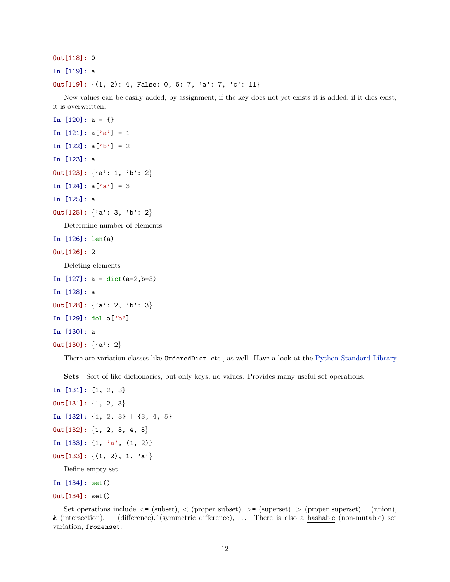```
Out[118]: 0
```
In [119]: a

Out[119]:  $\{(1, 2): 4,$  False: 0, 5: 7, 'a': 7, 'c': 11}

New values can be easily added, by assignment; if the key does not yet exists it is added, if it dies exist, it is overwritten.

```
In [120]: a = \{\}In [121]: a['a'] = 1In [122]: a['b'] = 2In [123]: a
Out [123]: \{a': 1, 'b': 2\}In [124]: a['a'] = 3In [125]: a
Out [125]: \{a': 3, 'b': 2\}Determine number of elements
In [126]: len(a)
Out[126]: 2
  Deleting elements
In [127]: a = \text{dict}(a=2, b=3)In [128]: a
Out [128]: \{a': 2, 'b': 3\}In [129]: del a['b']
In [130]: a
Out[130]: {'a': 2}
```
There are variation classes like OrderedDict, etc., as well. Have a look at the [Python Standard Library](https://docs.python.org/3/library/)

Sets Sort of like dictionaries, but only keys, no values. Provides many useful set operations.

```
In [131]: {1, 2, 3}
Out[131]: \{1, 2, 3\}In [132]: {1, 2, 3} | {3, 4, 5}
Out[132]: \{1, 2, 3, 4, 5\}In [133]: \{1, 'a', (1, 2)\}Out [133]: \{(1, 2), 1, 'a'\}Define empty set
```

```
In [134]: set()
```

```
Out[134]: set()
```
Set operations include  $\leq$  (subset),  $\leq$  (proper subset),  $\geq$  (superset),  $\geq$  (proper superset),  $\mid$  (union), & (intersection), − (difference),^(symmetric difference), . . . There is also a hashable (non-mutable) set variation, frozenset.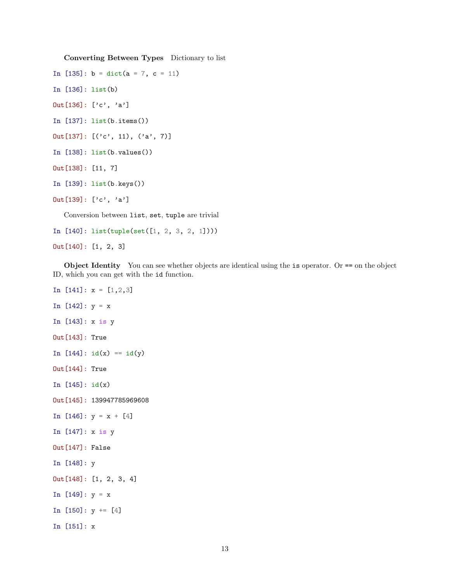Converting Between Types Dictionary to list

```
In [135]: b = dict(a = 7, c = 11)
```
- In [136]: list(b)
- Out[136]: ['c', 'a']
- In [137]: list(b.items())
- Out[137]: [('c', 11), ('a', 7)]
- In [138]: list(b.values())
- Out[138]: [11, 7]
- In [139]: list(b.keys())

```
Out[139]: ['c', 'a']
```
Conversion between list, set, tuple are trivial

In [140]: list(tuple(set([1, 2, 3, 2, 1])))

Out[140]: [1, 2, 3]

Object Identity You can see whether objects are identical using the is operator. Or == on the object ID, which you can get with the id function.

In  $[141]: x = [1, 2, 3]$ In  $[142]$ :  $y = x$ In [143]: x is y Out[143]: True In  $[144]$ :  $id(x) == id(y)$ Out[144]: True In [145]: id(x) Out[145]: 139947785969608 In  $[146]$ :  $y = x + [4]$ In [147]: x is y Out[147]: False In [148]: y Out[148]: [1, 2, 3, 4] In  $[149]$ :  $y = x$ In  $[150]$ :  $y == [4]$ In [151]: x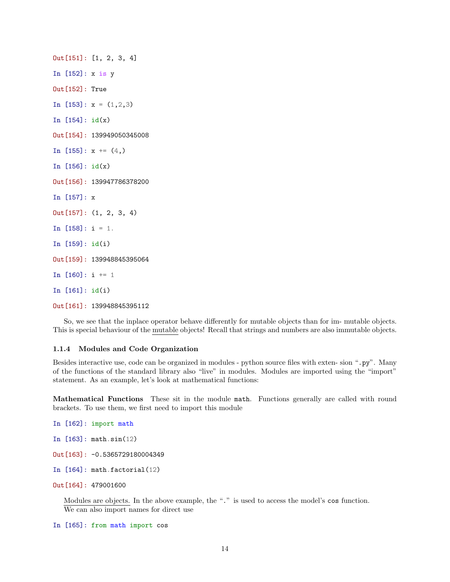Out[151]: [1, 2, 3, 4] In [152]: x is y Out[152]: True In  $[153]$ :  $x = (1, 2, 3)$ In  $[154]$ :  $id(x)$ Out[154]: 139949050345008 In  $[155]$ : x +=  $(4, )$ In [156]: id(x) Out[156]: 139947786378200 In [157]: x Out[157]: (1, 2, 3, 4) In  $[158]$ : i = 1. In [159]: id(i) Out[159]: 139948845395064 In  $[160]$ : i += 1 In [161]: id(i) Out[161]: 139948845395112

So, we see that the inplace operator behave differently for mutable objects than for im- mutable objects. This is special behaviour of the mutable objects! Recall that strings and numbers are also immutable objects.

### 1.1.4 Modules and Code Organization

Besides interactive use, code can be organized in modules - python source files with exten- sion ".py". Many of the functions of the standard library also "live" in modules. Modules are imported using the "import" statement. As an example, let's look at mathematical functions:

Mathematical Functions These sit in the module math. Functions generally are called with round brackets. To use them, we first need to import this module

```
In [162]: import math
```
- In [163]: math.sin(12)
- Out[163]: -0.5365729180004349
- In [164]: math.factorial(12)
- Out[164]: 479001600

Modules are objects. In the above example, the "." is used to access the model's cos function. We can also import names for direct use

In [165]: from math import cos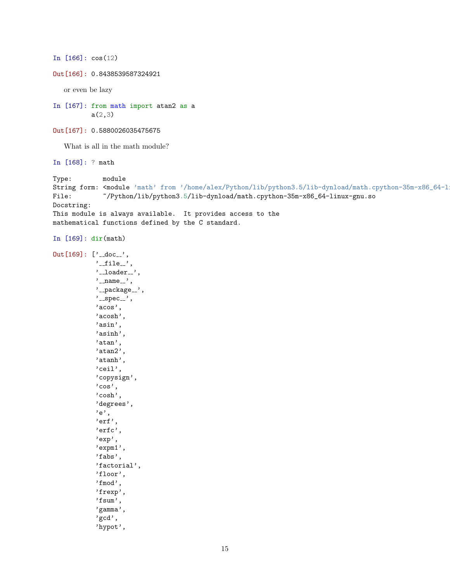```
In [166]: cos(12)
Out[166]: 0.8438539587324921
   or even be lazy
In [167]: from math import atan2 as a
           a(2,3)Out[167]: 0.5880026035475675
   What is all in the math module?
In [168]: ? math
Type: module
String form: <module 'math' from '/home/alex/Python/lib/python3.5/lib-dynload/math.cpython-35m-x86_64-l
File: ~/Python/lib/python3.5/lib-dynload/math.cpython-35m-x86_64-linux-gnu.so
Docstring:
This module is always available. It provides access to the
mathematical functions defined by the C standard.
In [169]: dir(math)
Out[169]: ['\_doc__','-file ',
           '<sub>--</sub>loader<sub>--</sub>',
           '_name_',
            '<sub>--</sub>package<sub>--</sub>',
            '_spec_',
            'acos',
           'acosh',
            'asin',
            'asinh',
           'atan',
           'atan2',
            'atanh',
            'ceil',
            'copysign',
            'cos',
            'cosh',
            'degrees',
            'e',
            'erf',
            'erfc',
            'exp',
            'expm1',
            'fabs',
            'factorial',
            'floor',
            'fmod',
            'frexp',
            'fsum',
            'gamma',
            'gcd',
            'hypot',
```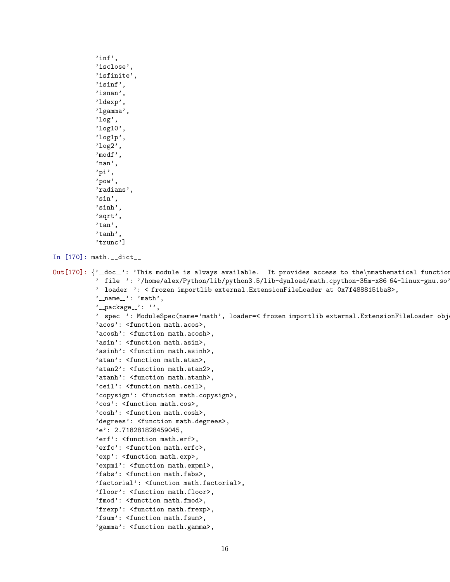```
'inf',
           'isclose',
           'isfinite',
           'isinf',
           'isnan',
           'ldexp',
           'lgamma',
           'log',
           'log10',
           'log1p',
           'log2',
           'modf',
           'nan',
           'pi',
           'pow',
           'radians',
           'sin',
           'sinh',
           'sqrt',
           'tan',
           'tanh',
           'trunc']
In [170]: math.__dict__
Out [170]: \}' doc ': 'This module is always available. It provides access to the \nmathematical functions
           '_file_': '/home/alex/Python/lib/python3.5/lib-dynload/math.cpython-35m-x86_64-linux-gnu.so'
           '__loader__': <_frozen_importlib_external.ExtensionFileLoader at 0x7f4888151ba8>,
           '_name__': 'math',
           '<sub>--</sub>package<sub>--</sub>': '',
           '__spec__': ModuleSpec(name='math', loader=<_frozen_importlib_external.ExtensionFileLoader obj
           'acos': <function math.acos>,
           'acosh': <function math.acosh>,
           'asin': <function math.asin>,
           'asinh': <function math.asinh>,
           'atan': <function math.atan>,
           'atan2': <function math.atan2>,
           'atanh': <function math.atanh>,
           'ceil': <function math.ceil>,
           'copysign': <function math.copysign>,
           'cos': <function math.cos>,
           'cosh': <function math.cosh>,
           'degrees': <function math.degrees>,
           'e': 2.718281828459045,
           'erf': <function math.erf>,
           'erfc': <function math.erfc>,
           'exp': <function math.exp>,
           'expm1': <function math.expm1>,
           'fabs': <function math.fabs>,
           'factorial': <function math.factorial>,
           'floor': <function math.floor>,
           'fmod': <function math.fmod>,
           'frexp': <function math.frexp>,
           'fsum': <function math.fsum>,
           'gamma': <function math.gamma>,
```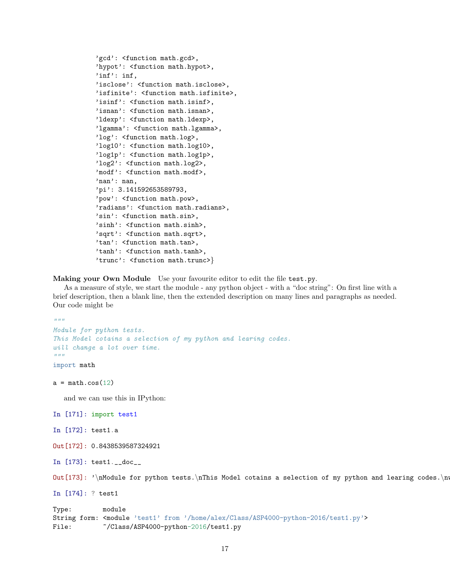```
'gcd': <function math.gcd>,
'hypot': <function math.hypot>,
'inf': inf,
'isclose': <function math.isclose>,
'isfinite': <function math.isfinite>,
'isinf': <function math.isinf>,
'isnan': <function math.isnan>,
'ldexp': <function math.ldexp>,
'lgamma': <function math.lgamma>,
'log': <function math.log>,
'log10': <function math.log10>,
'log1p': <function math.log1p>,
'log2': <function math.log2>,
'modf': <function math.modf>,
'nan': nan,
'pi': 3.141592653589793,
'pow': <function math.pow>,
'radians': <function math.radians>,
'sin': <function math.sin>,
'sinh': <function math.sinh>,
'sqrt': <function math.sqrt>,
'tan': <function math.tan>,
'tanh': <function math.tanh>,
'trunc': <function math.trunc>}
```
Making your Own Module Use your favourite editor to edit the file test.py.

As a measure of style, we start the module - any python object - with a "doc string": On first line with a brief description, then a blank line, then the extended description on many lines and paragraphs as needed. Our code might be

```
"''"Module for python tests.
This Model cotains a selection of my python and learing codes.
will change a lot over time.
\bar{n} \bar{n} \bar{n}import math
a = \text{math.cos}(12)and we can use this in IPython:
In [171]: import test1
In [172]: test1.a
Out[172]: 0.8438539587324921
In [173]: test1.__doc__
Out [173]: '\nModule for python tests.\nThis Model cotains a selection of my python and learing codes.\n
In [174]: ? test1
Type: module
String form: <module 'test1' from '/home/alex/Class/ASP4000-python-2016/test1.py'>
File: \sim /Class/ASP4000-python-2016/test1.py
```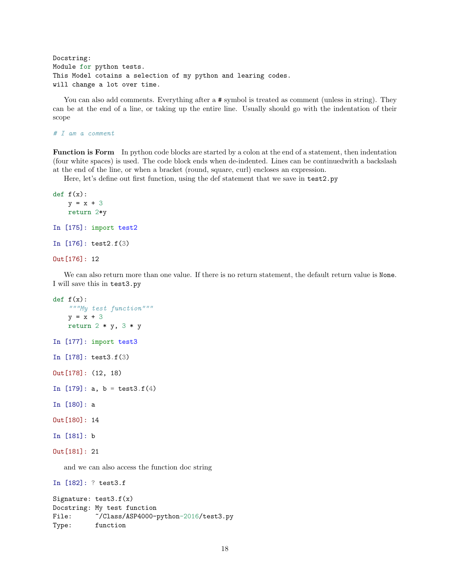```
Docstring:
Module for python tests.
This Model cotains a selection of my python and learing codes.
will change a lot over time.
```
You can also add comments. Everything after a  $\#$  symbol is treated as comment (unless in string). They can be at the end of a line, or taking up the entire line. Usually should go with the indentation of their scope

# I am a comment

Function is Form In python code blocks are started by a colon at the end of a statement, then indentation (four white spaces) is used. The code block ends when de-indented. Lines can be continuedwith a backslash at the end of the line, or when a bracket (round, square, curl) encloses an expression.

Here, let's define out first function, using the def statement that we save in test2.py

```
def f(x):y = x + 3return 2*y
In [175]: import test2
In [176]: test2.f(3)
Out[176]: 12
```
We can also return more than one value. If there is no return statement, the default return value is None. I will save this in test3.py

```
def f(x):"""My test function"""
   y = x + 3return 2 * y, 3 * yIn [177]: import test3
In [178]: test3.f(3)
Out[178]: (12, 18)
In [179]: a, b = test3.f(4)
In [180]: a
Out[180]: 14
In [181]: b
Out[181]: 21
  and we can also access the function doc string
In [182]: ? test3.f
Signature: test3.f(x)
Docstring: My test function
File: \sim /Class/ASP4000-python-2016/test3.py
Type: function
```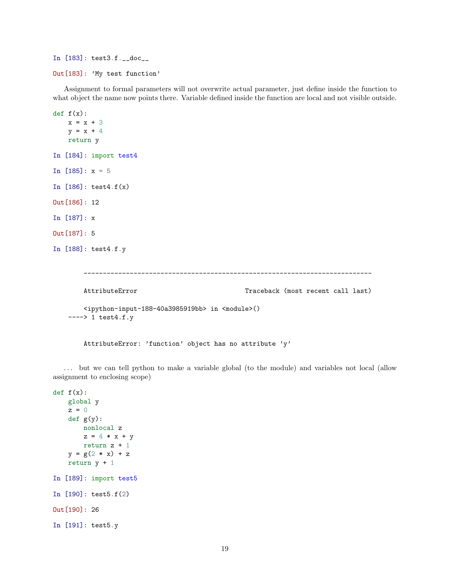```
In [183]: test3.f.__doc__
Out[183]: 'My test function'
```
Assignment to formal parameters will not overwrite actual parameter, just define inside the function to what object the name now points there. Variable defined inside the function are local and not visible outside.

```
def f(x):x = x + 3y = x + 4return y
In [184]: import test4
In [185]: x = 5In [186]: test4.f(x)
Out[186]: 12
In [187]: x
Out[187]: 5
In [188]: test4.f.y
       ---------------------------------------------------------------------------
       AttributeError Traceback (most recent call last)
       <ipython-input-188-40a3985919bb> in <module>()
   ---> 1 test4.f.y
```
AttributeError: 'function' object has no attribute 'y'

. . . but we can tell python to make a variable global (to the module) and variables not local (allow assignment to enclosing scope)

```
def f(x):global y
   z = 0def g(y):
       nonlocal z
       z = 4 * x + yreturn z + 1
   y = g(2 * x) + zreturn y + 1
In [189]: import test5
In [190]: test5.f(2)
Out[190]: 26
In [191]: test5.y
```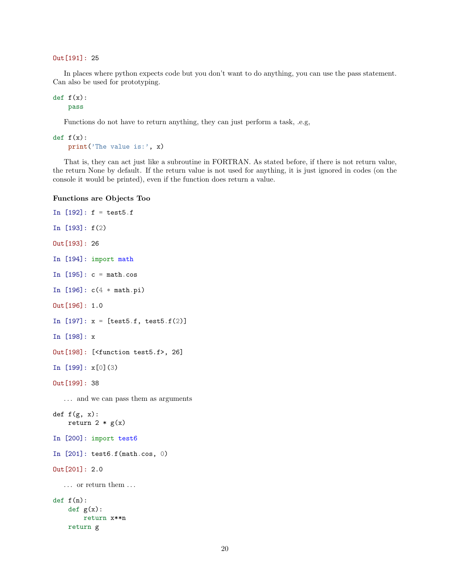Out[191]: 25

In places where python expects code but you don't want to do anything, you can use the pass statement. Can also be used for prototyping.

 $def f(x):$ pass

Functions do not have to return anything, they can just perform a task, .e.g,

 $def f(x):$ print('The value is:', x)

That is, they can act just like a subroutine in FORTRAN. As stated before, if there is not return value, the return None by default. If the return value is not used for anything, it is just ignored in codes (on the console it would be printed), even if the function does return a value.

### Functions are Objects Too

```
In [192]: f = \text{test5.f}In [193]: f(2)
Out[193]: 26
In [194]: import math
In [195]: c = \text{math.}In [196]: c(4 * math.pi)
Out[196]: 1.0
In [197]: x = [test5.f, test5.f(2)]In [198]: x
Out[198]: [<function test5.f>, 26]
In [199]: x[0](3)
Out[199]: 38
  . . . and we can pass them as arguments
def f(g, x):
    return 2 * g(x)In [200]: import test6
In [201]: test6.f(math.cos, 0)
Out[201]: 2.0
   . . . or return them . . .
def f(n):def g(x):
        return x**n
    return g
```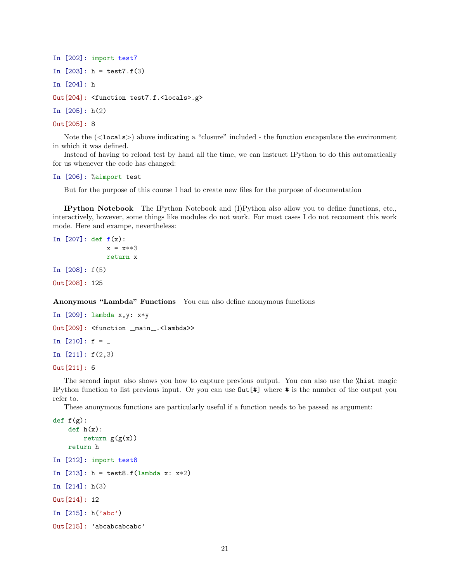```
In [202]: import test7
In [203]: h = test7.f(3)
In [204]: h
Out[204]: <function test7.f.<locals>.g>
In [205]: h(2)
Out[205]: 8
```
Note the (<locals>) above indicating a "closure" included - the function encapsulate the environment in which it was defined.

Instead of having to reload test by hand all the time, we can instruct IPython to do this automatically for us whenever the code has changed:

### In [206]: %aimport test

But for the purpose of this course I had to create new files for the purpose of documentation

IPython Notebook The IPython Notebook and (I)Python also allow you to define functions, etc., interactively, however, some things like modules do not work. For most cases I do not recooment this work mode. Here and exampe, nevertheless:

```
In [207]: def f(x):
              x = x**3return x
In [208]: f(5)
Out[208]: 125
```
Anonymous "Lambda" Functions You can also define anonymous functions

```
In [209]: lambda x,y: x*y
Out[209]: <function _main_.<lambda>>
In [210]: f =
In [211]: f(2,3)
Out[211]: 6
```
The second input also shows you how to capture previous output. You can also use the %hist magic IPython function to list previous input. Or you can use Out[#] where # is the number of the output you refer to.

These anonymous functions are particularly useful if a function needs to be passed as argument:

```
def f(g):
    def h(x):
        return g(g(x))return h
In [212]: import test8
In [213]: h = test8.f(lambda x: x*2)
In [214]: h(3)
Out[214]: 12
In [215]: h('abc')
Out[215]: 'abcabcabcabc'
```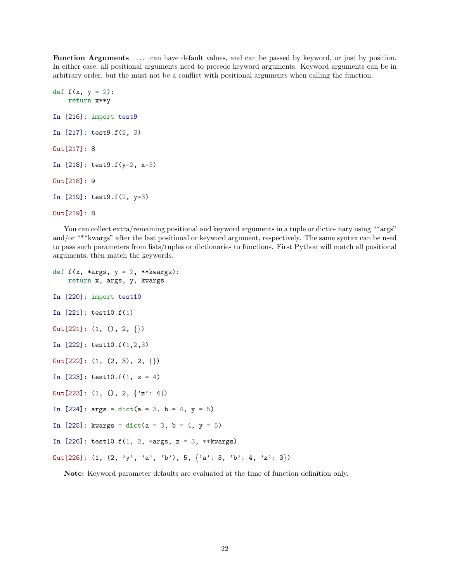Function Arguments ... can have default values, and can be passed by keyword, or just by position. In either case, all positional arguments need to precede keyword arguments. Keyword arguments can be in arbitrary order, but the must not be a conflict with positional arguments when calling the function.

```
def f(x, y = 2):
    return x**y
In [216]: import test9
In [217]: test9.f(2, 3)
Out[217]: 8
In [218]: test9.f(y=2, x=3)
Out[218]: 9
In [219]: test9.f(2, y=3)
Out[219]: 8
```
You can collect extra/remaining positional and keyword arguments in a tuple or dictio- nary using "\*args" and/or "\*\*kwargs" after the last positional or keyword argument, respectively. The same syntax can be used to pass such parameters from lists/tuples or dictionaries to functions. First Python will match all positional arguments, then match the keywords.

```
def f(x, *args, y = 2, **kwargs):
    return x, args, y, kwargs
In [220]: import test10
In [221]: test10.f(1)
Out[221]: (1, (), 2, {})In [222]: test10.f(1,2,3)
Out[222]: (1, (2, 3), 2, \{\})In [223]: test10.f(1, z = 4)
Out [223]: (1, (), 2, \{'z': 4\})In [224]: args = dict(a = 3, b = 4, y = 5)
In [225]: kwargs = dict(a = 3, b = 4, y = 5)
In [226]: test10.f(1, 2, *args, z = 3, **kwargs)
Out [226]: (1, (2, 'y', 'a', 'b'), 5, \{ 'a': 3, 'b': 4, 'z': 3 \})
```
Note: Keyword parameter defaults are evaluated at the time of function definition only.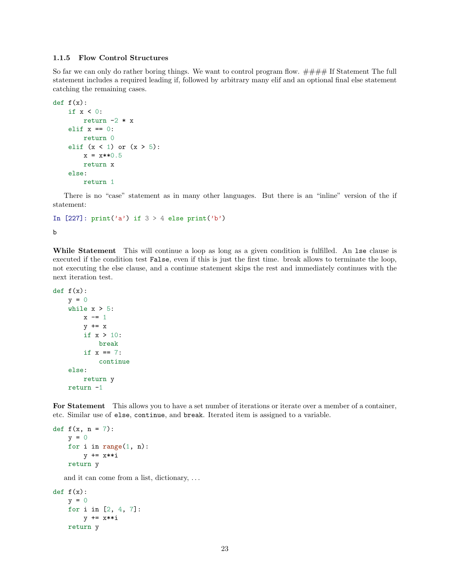### 1.1.5 Flow Control Structures

So far we can only do rather boring things. We want to control program flow.  $\# \# \# \#$  If Statement The full statement includes a required leading if, followed by arbitrary many elif and an optional final else statement catching the remaining cases.

```
def f(x):if x < 0:
        return -2 * x
   elif x == 0:
       return 0
   elif (x < 1) or (x > 5):
       x = x**0.5return x
   else:
        return 1
```
There is no "case" statement as in many other languages. But there is an "inline" version of the if statement:

```
In [227]: print('a') if 3 > 4 else print('b')
```

```
b
```
While Statement This will continue a loop as long as a given condition is fulfilled. An lse clause is executed if the condition test False, even if this is just the first time. break allows to terminate the loop, not executing the else clause, and a continue statement skips the rest and immediately continues with the next iteration test.

```
def f(x):y = 0while x > 5:
         x \leftarrow 1
         y \leftarrow xif x > 10:
              break
         if x == 7:
              continue
    else:
         return y
    return -1
```
For Statement This allows you to have a set number of iterations or iterate over a member of a container, etc. Similar use of else, continue, and break. Iterated item is assigned to a variable.

```
def f(x, n = 7):
   y = 0for i in range(1, n):
       y += x**i
   return y
```
and it can come from a list, dictionary, . . .

```
def f(x):
   y = 0for i in [2, 4, 7]:
       y += x**i
   return y
```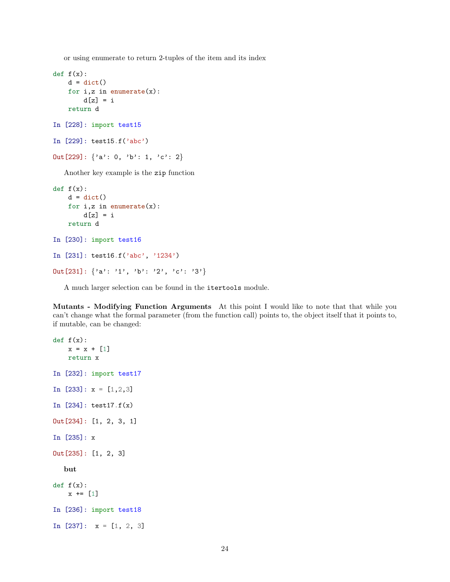or using enumerate to return 2-tuples of the item and its index

```
def f(x):d = \text{dict}()for i, z in enumerate(x):
        d[z] = ireturn d
In [228]: import test15
In [229]: test15.f('abc')
Out [229]: \{a: 0, b: 1, 'c: 2\}
```
Another key example is the zip function

```
def f(x):d = dict()for i, z in enumerate(x):
        d[z] = ireturn d
In [230]: import test16
In [231]: test16.f('abc', '1234')
Out [231]: \{a': '1', 'b': '2', 'c': '3'\}
```
A much larger selection can be found in the itertools module.

Mutants - Modifying Function Arguments At this point I would like to note that that while you can't change what the formal parameter (from the function call) points to, the object itself that it points to, if mutable, can be changed:

```
def f(x):x = x + [1]return x
In [232]: import test17
In [233]: x = [1, 2, 3]In [234]: test17.f(x)
Out[234]: [1, 2, 3, 1]
In [235]: x
Out[235]: [1, 2, 3]
  but
def f(x):x \leftarrow + = [1]In [236]: import test18
In [237]: x = [1, 2, 3]
```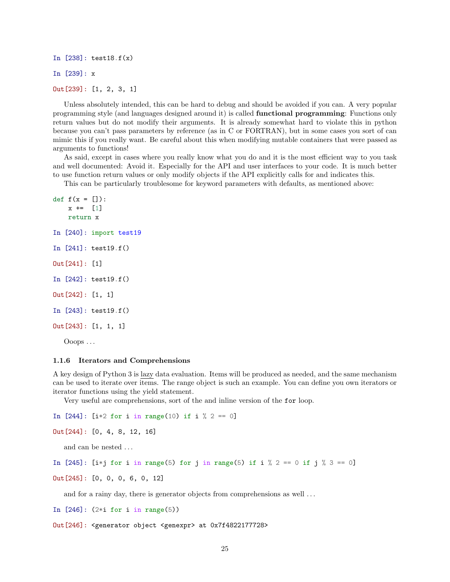In [238]: test18.f(x) In [239]: x Out[239]: [1, 2, 3, 1]

Unless absolutely intended, this can be hard to debug and should be avoided if you can. A very popular programming style (and languages designed around it) is called functional programming: Functions only return values but do not modify their arguments. It is already somewhat hard to violate this in python because you can't pass parameters by reference (as in C or FORTRAN), but in some cases you sort of can mimic this if you really want. Be careful about this when modifying mutable containers that were passed as arguments to functions!

As said, except in cases where you really know what you do and it is the most efficient way to you task and well documented: Avoid it. Especially for the API and user interfaces to your code. It is much better to use function return values or only modify objects if the API explicitly calls for and indicates this.

This can be particularly troublesome for keyword parameters with defaults, as mentioned above:

```
def f(x = []):x \leftarrow 1return x
In [240]: import test19
In [241]: test19.f()
Out[241]: [1]
In [242]: test19.f()
Out[242]: [1, 1]
In [243]: test19.f()
Out[243]: [1, 1, 1]
   Ooops . . .
```
#### 1.1.6 Iterators and Comprehensions

A key design of Python 3 is lazy data evaluation. Items will be produced as needed, and the same mechanism can be used to iterate over items. The range object is such an example. You can define you own iterators or iterator functions using the yield statement.

Very useful are comprehensions, sort of the and inline version of the for loop.

In [244]: [i\*2 for i in range(10) if i  $\%$  2 == 0]

```
Out[244]: [0, 4, 8, 12, 16]
```
and can be nested ...

In [245]: [i\*j for i in range(5) for j in range(5) if i % 2 == 0 if j % 3 == 0]

Out[245]: [0, 0, 0, 6, 0, 12]

and for a rainy day, there is generator objects from comprehensions as well ...

In  $[246]$ :  $(2*i$  for i in range $(5))$ 

Out[246]: <generator object <genexpr> at 0x7f4822177728>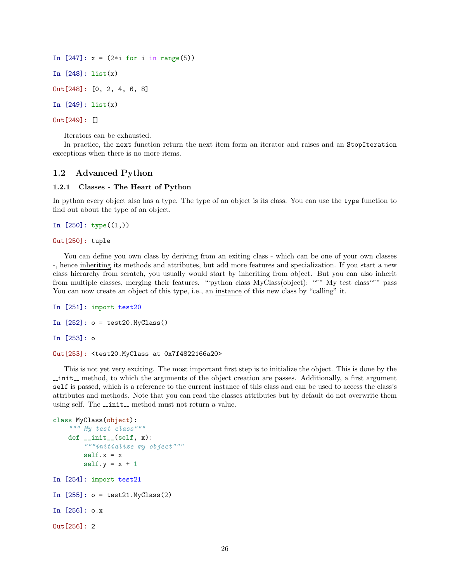In  $[247]$ :  $x = (2 * i for i in range(5))$ In [248]: list(x) Out[248]: [0, 2, 4, 6, 8] In [249]: list(x) Out[249]: []

Iterators can be exhausted.

In practice, the next function return the next item form an iterator and raises and an StopIteration exceptions when there is no more items.

### 1.2 Advanced Python

### 1.2.1 Classes - The Heart of Python

In python every object also has a type. The type of an object is its class. You can use the type function to find out about the type of an object.

```
In [250]: type((1,))
```
### Out[250]: tuple

You can define you own class by deriving from an exiting class - which can be one of your own classes -, hence inheriting its methods and attributes, but add more features and specialization. If you start a new class hierarchy from scratch, you usually would start by inheriting from object. But you can also inherit from multiple classes, merging their features. ""python class MyClass(object): """ My test class""" pass You can now create an object of this type, i.e., an instance of this new class by "calling" it.

```
In [251]: import test20
In [252]: o = test20.MyClass()In [253]: o
Out[253]: <test20.MyClass at 0x7f4822166a20>
```
This is not yet very exciting. The most important first step is to initialize the object. This is done by the  $\text{unit}$ , method, to which the arguments of the object creation are passes. Additionally, a first argument self is passed, which is a reference to the current instance of this class and can be used to access the class's attributes and methods. Note that you can read the classes attributes but by default do not overwrite them using self. The \_\_init\_ method must not return a value.

```
class MyClass(object):
    """ My test class"""
   def __init__(self, x):
        """initialize my object"""
        self.x = xself.y = x + 1In [254]: import test21
In [255]: o = test21.MyClass(2)
In [256]: o.x
Out[256]: 2
```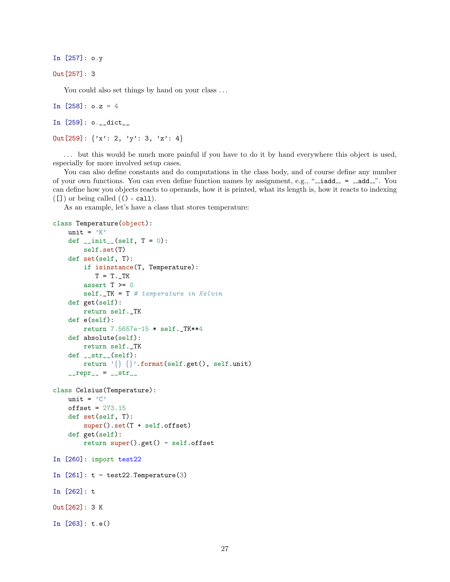In [257]: o.y

```
Out[257]: 3
```
You could also set things by hand on your class ...

```
In [258]: 0.2 = 4
```

```
In [259]: o.__dict__
```
Out [259]:  $\{x': 2, y': 3, z': 4\}$ 

. . . but this would be much more painful if you have to do it by hand everywhere this object is used, especially for more involved setup cases.

You can also define constants and do computations in the class body, and of course define any number of your own functions. You can even define function names by assignment, e.g., " $\_i$ add $\_ = \_$ add $\_$ ". You can define how you objects reacts to operands, how it is printed, what its length is, how it reacts to indexing ([]) or being called (() - call).

As an example, let's have a class that stores temperature:

```
class Temperature(object):
    unit = 'K'def \_init\_(self, T = 0):
        self.set(T)
    def set(self, T):
        if isinstance(T, Temperature):
            T = T. TKassert T >= 0
        self.-TK = T # temperature in Kelvindef get(self):
        return self._TK
    def e(self):
        return 7.5657e-15 * self._TK**4
    def absolute(self):
        return self._TK
    def_{ }_{ }_{ }_{;}_{ }str_{ }_{ }_{ }(self):return '\{\}\{\}\.format(self.get(), self.unit)
    _{-}repr<sub>-</sub> = _{-}str<sub>-</sub>
class Celsius(Temperature):
    unit = 'C'offset = 273.15def set(self, T):
        super().set(T + self.offset)
    def get(self):
        return super().get() - self.offset
In [260]: import test22
In [261]: t = test22. Temperature(3)
In [262]: t
Out[262]: 3 K
In [263]: t.e()
```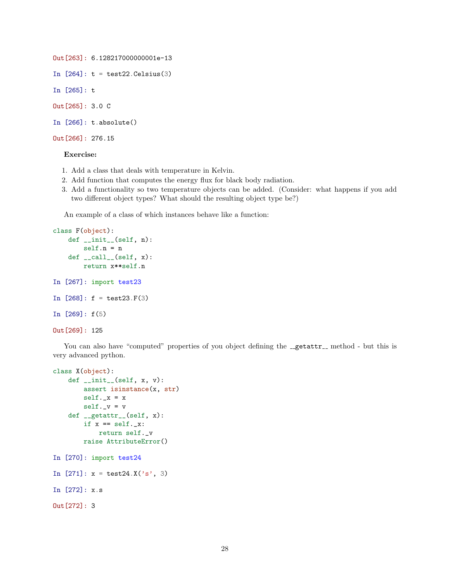```
Out[263]: 6.128217000000001e-13
In [264]: t = test22.Celsius(3)In [265]: t
Out[265]: 3.0 C
In [266]: t.absolute()
```

```
Out[266]: 276.15
```
### Exercise:

- 1. Add a class that deals with temperature in Kelvin.
- 2. Add function that computes the energy flux for black body radiation.
- 3. Add a functionality so two temperature objects can be added. (Consider: what happens if you add two different object types? What should the resulting object type be?)

An example of a class of which instances behave like a function:

```
class F(object):
    def __init__(self, n):
        self.n = n
    def \_\llcorner call \_\llcorner (self, x):return x**self.n
In [267]: import test23
In [268]: f = test23.F(3)
In [269]: f(5)
Out[269]: 125
```
You can also have "computed" properties of you object defining the \_\_getattr\_ method - but this is very advanced python.

```
class X(object):
    def __init__(self, x, v):
        assert isinstance(x, str)
        self._x = xself._v = vdef __getattr__(self, x):
        if x == self._x:
            return self._v
        raise AttributeError()
In [270]: import test24
In [271]: x = \text{test24.X('s', 3)}In [272]: x.s
Out[272]: 3
```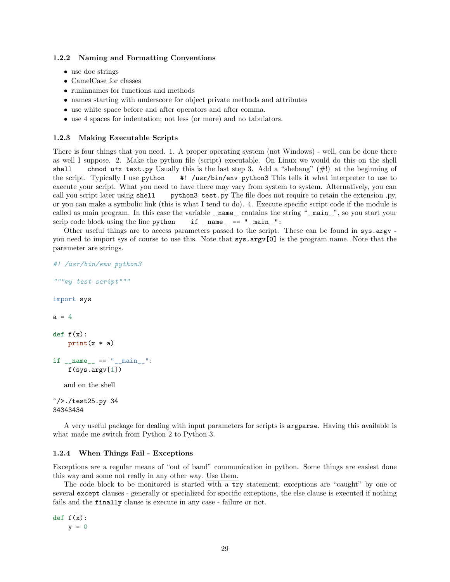### 1.2.2 Naming and Formatting Conventions

- use doc strings
- CamelCase for classes
- runinnames for functions and methods
- names starting with underscore for object private methods and attributes
- use white space before and after operators and after comma.
- use 4 spaces for indentation; not less (or more) and no tabulators.

### 1.2.3 Making Executable Scripts

There is four things that you need. 1. A proper operating system (not Windows) - well, can be done there as well I suppose. 2. Make the python file (script) executable. On Linux we would do this on the shell shell chmod u+x text.py Usually this is the last step 3. Add a "shebang"  $(\#!)$  at the beginning of the script. Typically I use python #! /usr/bin/env python3 This tells it what interpreter to use to execute your script. What you need to have there may vary from system to system. Alternatively, you can call you script later using shell python3 test.py The file does not require to retain the extension .py, or you can make a symbolic link (this is what I tend to do). 4. Execute specific script code if the module is called as main program. In this case the variable  $\Box$ name  $\Box$  contains the string " $\Box$ main  $\Box$ ", so you start your scrip code block using the line python  $if$   $_name__ ==$  " $_main__$ ":

Other useful things are to access parameters passed to the script. These can be found in sys.argv you need to import sys of course to use this. Note that sys.argv[0] is the program name. Note that the parameter are strings.

```
#! /usr/bin/env python3
"""my test script"""
import sys
a = 4def f(x):print(x * a)if __name__ == "__main__":
    f(sys.argv[1])and on the shell
\gamma />./test25.py 34
```
34343434

A very useful package for dealing with input parameters for scripts is argparse. Having this available is what made me switch from Python 2 to Python 3.

### 1.2.4 When Things Fail - Exceptions

Exceptions are a regular means of "out of band" communication in python. Some things are easiest done this way and some not really in any other way. Use them.

The code block to be monitored is started with a try statement; exceptions are "caught" by one or several except clauses - generally or specialized for specific exceptions, the else clause is executed if nothing fails and the finally clause is execute in any case - failure or not.

 $def f(x):$  $y = 0$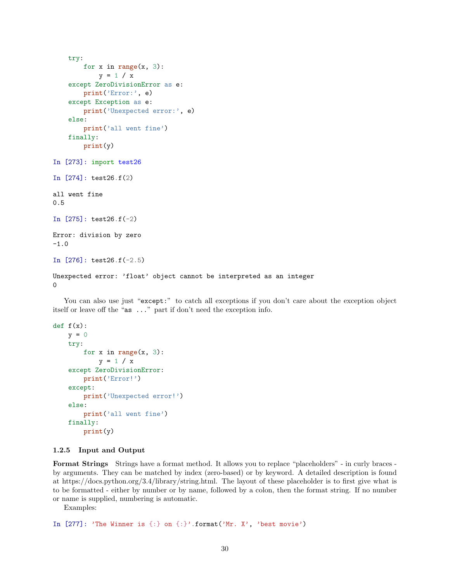```
try:
       for x in range(x, 3):
           y = 1 / xexcept ZeroDivisionError as e:
        print('Error:', e)
   except Exception as e:
       print('Unexpected error:', e)
   else:
        print('all went fine')
   finally:
       print(y)
In [273]: import test26
In [274]: test26.f(2)
all went fine
0.5
In [275]: test26.f(-2)
Error: division by zero
-1.0
In [276]: test26.f(-2.5)
Unexpected error: 'float' object cannot be interpreted as an integer
0
```
You can also use just "except:" to catch all exceptions if you don't care about the exception object itself or leave off the "as ..." part if don't need the exception info.

```
def f(x):y = 0try:
        for x in range(x, 3):
            y = 1 / xexcept ZeroDivisionError:
       print('Error!')
   except:
       print('Unexpected error!')
   else:
       print('all went fine')
   finally:
       print(y)
```
### 1.2.5 Input and Output

Format Strings Strings have a format method. It allows you to replace "placeholders" - in curly braces by arguments. They can be matched by index (zero-based) or by keyword. A detailed description is found at https://docs.python.org/3.4/library/string.html. The layout of these placeholder is to first give what is to be formatted - either by number or by name, followed by a colon, then the format string. If no number or name is supplied, numbering is automatic.

Examples:

In  $[277]$ : 'The Winner is  $\{\cdot\}$  on  $\{\cdot\}'$ .format('Mr. X', 'best movie')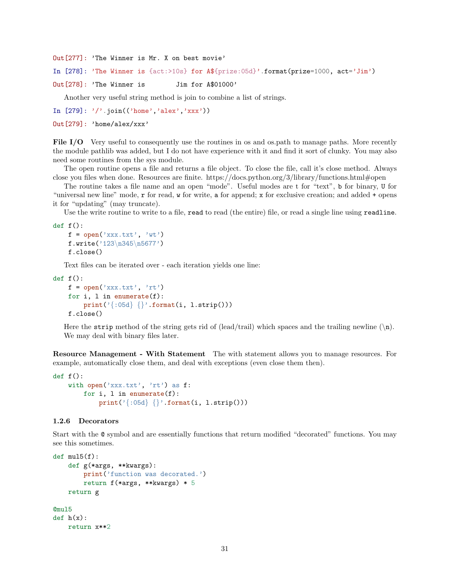Out[277]: 'The Winner is Mr. X on best movie'

In [278]: 'The Winner is {act:>10s} for A\${prize:05d}'.format(prize=1000, act='Jim')

Out[278]: 'The Winner is Jim for A\$01000'

Another very useful string method is join to combine a list of strings.

In  $[279]$ :  $\prime$   $\prime$  . join(('home','alex','xxx'))

Out[279]: 'home/alex/xxx'

File I/O Very useful to consequently use the routines in os and os.path to manage paths. More recently the module pathlib was added, but I do not have experience with it and find it sort of clunky. You may also need some routines from the sys module.

The open routine opens a file and returns a file object. To close the file, call it's close method. Always close you files when done. Resources are finite. https://docs.python.org/3/library/functions.html#open

The routine takes a file name and an open "mode". Useful modes are t for "text", b for binary, U for "universal new line" mode, r for read, w for write, a for append; x for exclusive creation; and added + opens it for "updating" (may truncate).

Use the write routine to write to a file, read to read (the entire) file, or read a single line using readline.

```
def f():
```

```
f = open('xxx.txt', 'wt')f.write('123\n345\n5677')
f.close()
```
Text files can be iterated over - each iteration yields one line:

```
def f():
   f = open('xxx.txt', 'rt')for i, l in enumerate(f):
        print('{:05d} {}'.format(i, l.strip()))
   f.close()
```
Here the strip method of the string gets rid of (lead/trail) which spaces and the trailing newline  $(\n\cdot)$ . We may deal with binary files later.

Resource Management - With Statement The with statement allows you to manage resources. For example, automatically close them, and deal with exceptions (even close them then).

```
def f():
    with open('xxx.txt', 'rt') as f:
        for i, l in enumerate(f):
            print('{:05d} {}'.format(i, l.strip()))
```
### 1.2.6 Decorators

Start with the @ symbol and are essentially functions that return modified "decorated" functions. You may see this sometimes.

```
def \text{ mul5(f)}:def g(*args, **kwargs):
        print('function was decorated.')
        return f(*args, **kwargs) * 5
    return g
@mul5
def h(x):return x**2
```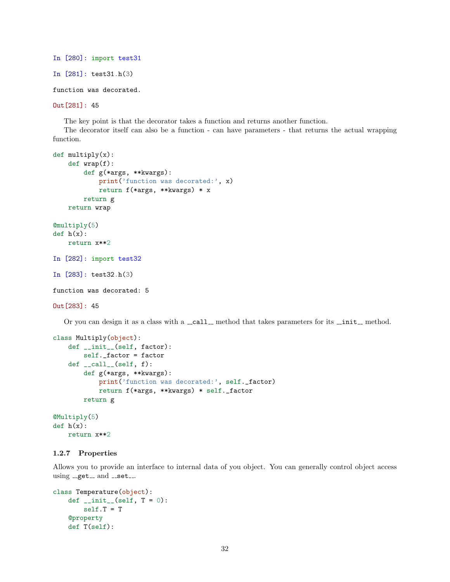```
In [280]: import test31
In [281]: test31.h(3)
function was decorated.
```

```
Out[281]: 45
```
The key point is that the decorator takes a function and returns another function.

The decorator itself can also be a function - can have parameters - that returns the actual wrapping function.

```
def multiply(x):
   def wrap(f):
        def g(*args, **kwargs):
            print('function was decorated:', x)
            return f(*args, **kwargs) * x
        return g
   return wrap
@multiply(5)
def h(x):return x**2
In [282]: import test32
In [283]: test32.h(3)
function was decorated: 5
Out[283]: 45
```
Or you can design it as a class with a  $\text{\_call}\_$  method that takes parameters for its  $\text{\_init}\_$  method.

```
class Multiply(object):
   def __init__(self, factor):
       self._factor = factor
   def \ __call_-(self, f):def g(*args, **kwargs):
            print('function was decorated:', self._factor)
            return f(*args, **kwargs) * self._factor
       return g
@Multiply(5)
def h(x):
```
### 1.2.7 Properties

return x\*\*2

Allows you to provide an interface to internal data of you object. You can generally control object access using  ${\sf \_get\_}$  and  ${\sf \_set\_}.$ 

```
class Temperature(object):
    def _{-}init_{-}(self, T = 0):
        self.T = T
    @property
    def T(self):
```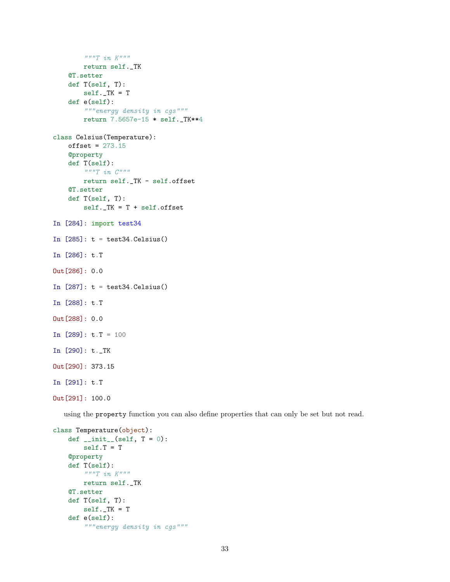```
"""T in K"""
         return self._TK
    @T.setter
    def T(self, T):
         self.-TK = Tdef e(self):
         """energy density in cgs"""
         return 7.5657e-15 * self._TK**4
class Celsius(Temperature):
    offset = 273.15@property
    def T(self):
         \begin{array}{ccc} \hbox{''} & \hbox{''} \\ \hbox{''} & \hbox{''} \\ \end{array}return self._TK - self.offset
    @T.setter
    def T(self, T):
         self.-TK = T + self.offsetIn [284]: import test34
In [285]: t = test34.Celsius()In [286]: t.T
Out[286]: 0.0
In [287]: t = test34.Celsius()In [288]: t.T
Out[288]: 0.0
In [289]: t.T = 100In [290]: t._TK
Out[290]: 373.15
In [291]: t.T
Out[291]: 100.0
```
using the property function you can also define properties that can only be set but not read.

```
class Temperature(object):
    def _{-}init_{-}(self, T = 0):
       self.T = T
    @property
    def T(self):
        """T in K"""
        return self._TK
    @T.setter
    def T(self, T):
        self.-TK = Tdef e(self):
        """energy density in cgs"""
```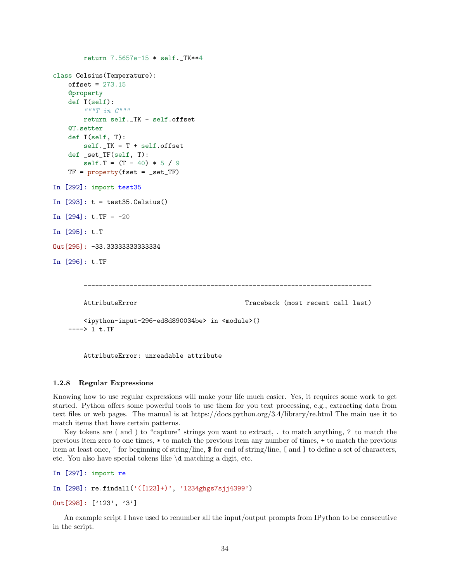```
return 7.5657e-15 * self._TK**4
class Celsius(Temperature):
   offset = 273.15@property
   def T(self):
       """T in C"""
       return self._TK - self.offset
   @T.setter
   def T(self, T):
       self.-TK = T + self.offsetdef _set_TF(self, T):
       self.T = (T - 40) * 5 / 9TF = property(fset = _set_TF)In [292]: import test35
In [293]: t = test35.Celsius()In [294]: t.TF = -20
In [295]: t.T
Out[295]: -33.33333333333334
In [296]: t.TF
        ---------------------------------------------------------------------------
       AttributeError Traceback (most recent call last)
       <ipython-input-296-ed8d890034be> in <module>()
   ----> 1 t.TF
```
AttributeError: unreadable attribute

### 1.2.8 Regular Expressions

Knowing how to use regular expressions will make your life much easier. Yes, it requires some work to get started. Python offers some powerful tools to use them for you text processing, e.g., extracting data from text files or web pages. The manual is at https://docs.python.org/3.4/library/re.html The main use it to match items that have certain patterns.

Key tokens are ( and ) to "capture" strings you want to extract, . to match anything, ? to match the previous item zero to one times, \* to match the previous item any number of times, + to match the previous item at least once, ˆ for beginning of string/line, \$ for end of string/line, [ and ] to define a set of characters, etc. You also have special tokens like \d matching a digit, etc.

```
In [297]: import re
In [298]: re.findall('([123]+)', '1234ghgs7sjj4399')
Out[298]: ['123', '3']
```
An example script I have used to renumber all the input/output prompts from IPython to be consecutive in the script.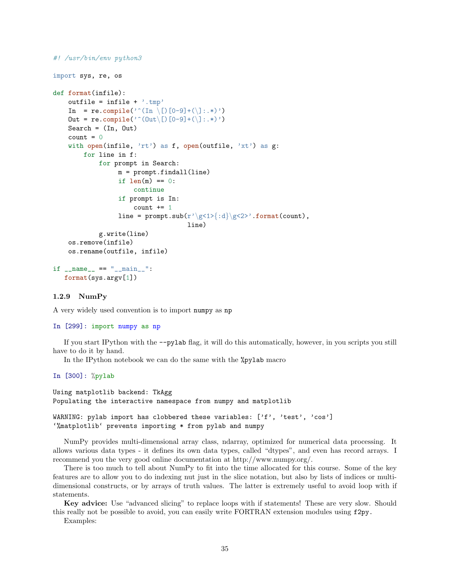```
#! /usr/bin/env python3
import sys, re, os
def format(infile):
   outfile = infile + \cdot.tmp'
   In = re.compile('^(In \[)[0-9]+(\]:.*)')
   Out = re.compile('^(Out\[)[0-9]+(\]:.*)')
   Search = (In, Out)count = 0with open(infile, 'rt') as f, open(outfile, 'xt') as g:
        for line in f:
            for prompt in Search:
                 m = prompt.findall(line)
                 if len(m) == 0:
                     continue
                 if prompt is In:
                     count += 1line = prompt.sub(r'\g<1>{:d}\g<2>'.format(count),
                                    line)
            g.write(line)
    os.remove(infile)
   os.rename(outfile, infile)
if __name__ == "__main__":
   format(sys.argv[1])
```
### 1.2.9 NumPy

A very widely used convention is to import numpy as np

### In [299]: import numpy as np

If you start IPython with the --pylab flag, it will do this automatically, however, in you scripts you still have to do it by hand.

In the IPython notebook we can do the same with the %pylab macro

In [300]: %pylab

Using matplotlib backend: TkAgg Populating the interactive namespace from numpy and matplotlib

```
WARNING: pylab import has clobbered these variables: ['f', 'test', 'cos']
'%matplotlib' prevents importing * from pylab and numpy
```
NumPy provides multi-dimensional array class, ndarray, optimized for numerical data processing. It allows various data types - it defines its own data types, called "dtypes", and even has record arrays. I recommend you the very good online documentation at http://www.numpy.org/.

There is too much to tell about NumPy to fit into the time allocated for this course. Some of the key features are to allow you to do indexing nut just in the slice notation, but also by lists of indices or multidimensional constructs, or by arrays of truth values. The latter is extremely useful to avoid loop with if statements.

Key advice: Use "advanced slicing" to replace loops with if statements! These are very slow. Should this really not be possible to avoid, you can easily write FORTRAN extension modules using f2py.

Examples: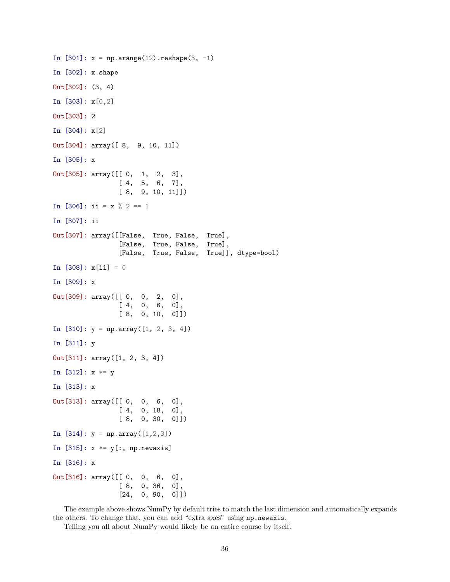```
In [301]: x = np.arange(12). reshape(3, -1)In [302]: x.shape
Out[302]: (3, 4)
In [303]: x[0,2]
Out[303]: 2
In [304]: x[2]
Out[304]: array([ 8, 9, 10, 11])
In [305]: x
Out[305]: array([[ 0, 1, 2, 3],
                [ 4, 5, 6, 7],
                [ 8, 9, 10, 11]])
In [306]: ii = x % 2 == 1
In [307]: ii
Out[307]: array([[False, True, False, True],
                [False, True, False, True],
                [False, True, False, True]], dtype=bool)
In [308]: x[i] = 0In [309]: x
Out[309]: array([[ 0, 0, 2, 0],
                [ 4, 0, 6, 0],
                [ 8, 0, 10, 0]])
In [310]: y = np.array([1, 2, 3, 4])In [311]: y
Out[311]: array([1, 2, 3, 4])
In [312]: x *= y
In [313]: x
Out[313]: array([[ 0, 0, 6, 0],
                [ 4, 0, 18, 0],
                [ 8, 0, 30, 0]])
In [314]: y = np.array([1, 2, 3])In [315]: x *= y[:, np.newaxis]
In [316]: x
Out[316]: array([[ 0, 0, 6, 0],
                [ 8, 0, 36, 0],
                [24, 0, 90, 0]]
```
The example above shows NumPy by default tries to match the last dimension and automatically expands the others. To change that, you can add "extra axes" using np.newaxis.

Telling you all about NumPy would likely be an entire course by itself.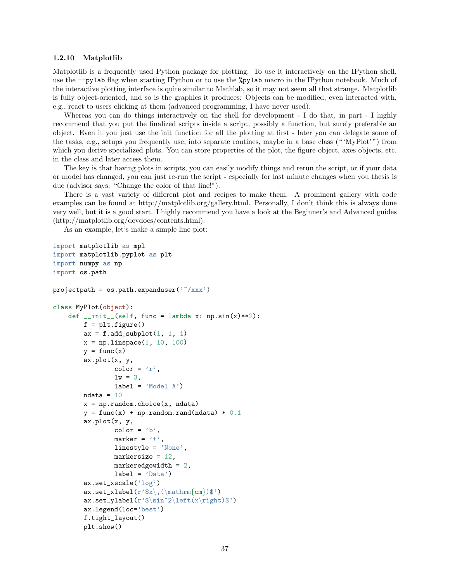#### 1.2.10 Matplotlib

Matplotlib is a frequently used Python package for plotting. To use it interactively on the IPython shell, use the --pylab flag when starting IPython or to use the %pylab macro in the IPython notebook. Much of the interactive plotting interface is quite similar to Mathlab, so it may not seem all that strange. Matplotlib is fully object-oriented, and so is the graphics it produces: Objects can be modified, even interacted with, e.g., react to users clicking at them (advanced programming, I have never used).

Whereas you can do things interactively on the shell for development - I do that, in part - I highly recommend that you put the finalized scripts inside a script, possibly a function, but surely preferable an object. Even it you just use the init function for all the plotting at first - later you can delegate some of the tasks, e.g., setups you frequently use, into separate routines, maybe in a base class (" 'MyPlot' ") from which you derive specialized plots. You can store properties of the plot, the figure object, axes objects, etc. in the class and later access them.

The key is that having plots in scripts, you can easily modify things and rerun the script, or if your data or model has changed, you can just re-run the script - especially for last minute changes when you thesis is due (advisor says: "Change the color of that line!").

There is a vast variety of different plot and recipes to make them. A prominent gallery with code examples can be found at http://matplotlib.org/gallery.html. Personally, I don't think this is always done very well, but it is a good start. I highly recommend you have a look at the Beginner's and Advanced guides (http://matplotlib.org/devdocs/contents.html).

As an example, let's make a simple line plot:

```
import matplotlib as mpl
import matplotlib.pyplot as plt
import numpy as np
import os.path
projectpath = os.path.expanduser('^x/xxx')class MyPlot(object):
    def _{-}init_{-}(self, func = lambda x: np.sin(x)**2):
        f = plt.figure()ax = f.add-subplot(1, 1, 1)x = npuinspace(1, 10, 100)
        y = func(x)ax.plot(x, y,
                color = 'r',
                lw = 3,label = 'Model A')ndata = 10x = np.randomchoice(x, ndata)y = func(x) + np.random.randn(ndata) * 0.1ax.plot(x, y,
                color = 'b',
                marker = '+',
                linestyle = 'None',
                markersize = 12,
                markeredgewidth = 2,
                label = 'Data')ax.set_xscale('log')
        ax.set_xlabel(r', (\mathrm{cm}))$')
        ax.set_ylabel(r*\sin^2\left(x\right))ax.legend(loc='best')
        f.tight_layout()
        plt.show()
```